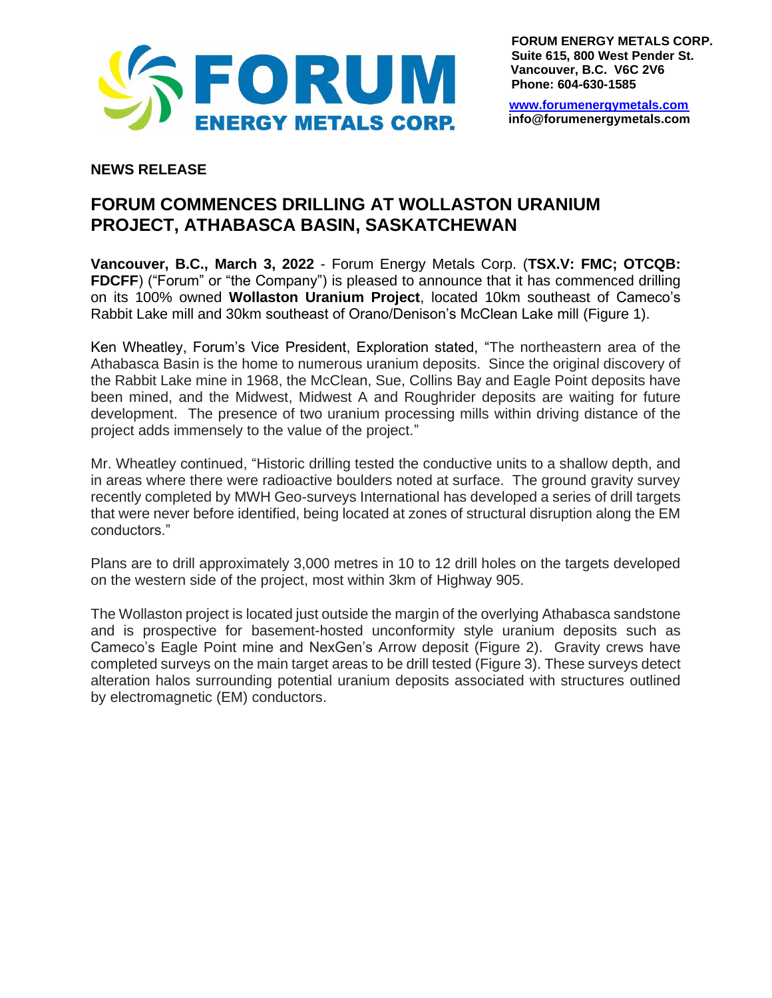

**FORUM ENERGY METALS CORP. Suite 615, 800 West Pender St. Vancouver, B.C. V6C 2V6 Phone: 604-630-1585**

[www.forumenergymetals.com](http://www.forumenergymetals.comu/) **info@forumenergymetals.com**

## **NEWS RELEASE**

## **FORUM COMMENCES DRILLING AT WOLLASTON URANIUM PROJECT, ATHABASCA BASIN, SASKATCHEWAN**

**Vancouver, B.C., March 3, 2022** - Forum Energy Metals Corp. (**TSX.V: FMC; OTCQB: FDCFF**) ("Forum" or "the Company") is pleased to announce that it has commenced drilling on its 100% owned **Wollaston Uranium Project**, located 10km southeast of Cameco's Rabbit Lake mill and 30km southeast of Orano/Denison's McClean Lake mill (Figure 1).

Ken Wheatley, Forum's Vice President, Exploration stated, "The northeastern area of the Athabasca Basin is the home to numerous uranium deposits. Since the original discovery of the Rabbit Lake mine in 1968, the McClean, Sue, Collins Bay and Eagle Point deposits have been mined, and the Midwest, Midwest A and Roughrider deposits are waiting for future development. The presence of two uranium processing mills within driving distance of the project adds immensely to the value of the project."

Mr. Wheatley continued, "Historic drilling tested the conductive units to a shallow depth, and in areas where there were radioactive boulders noted at surface. The ground gravity survey recently completed by MWH Geo-surveys International has developed a series of drill targets that were never before identified, being located at zones of structural disruption along the EM conductors."

Plans are to drill approximately 3,000 metres in 10 to 12 drill holes on the targets developed on the western side of the project, most within 3km of Highway 905.

The Wollaston project is located just outside the margin of the overlying Athabasca sandstone and is prospective for basement-hosted unconformity style uranium deposits such as Cameco's Eagle Point mine and NexGen's Arrow deposit (Figure 2). Gravity crews have completed surveys on the main target areas to be drill tested (Figure 3). These surveys detect alteration halos surrounding potential uranium deposits associated with structures outlined by electromagnetic (EM) conductors.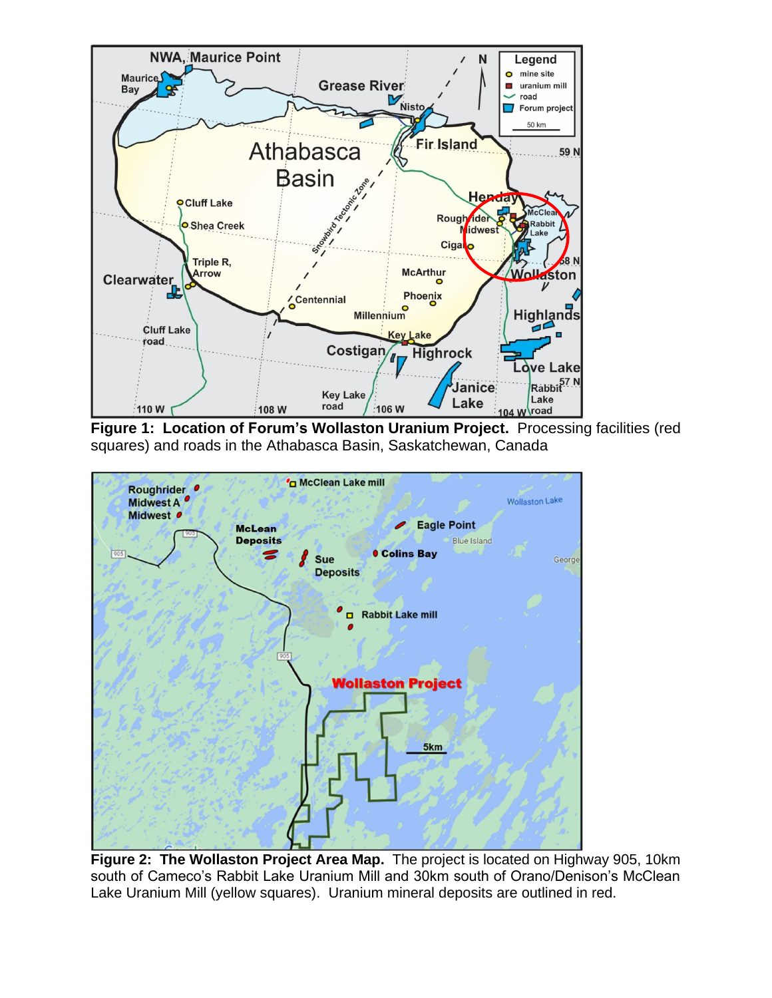

**Figure 1: Location of Forum's Wollaston Uranium Project.** Processing facilities (red squares) and roads in the Athabasca Basin, Saskatchewan, Canada



**Figure 2: The Wollaston Project Area Map.** The project is located on Highway 905, 10km south of Cameco's Rabbit Lake Uranium Mill and 30km south of Orano/Denison's McClean Lake Uranium Mill (yellow squares). Uranium mineral deposits are outlined in red.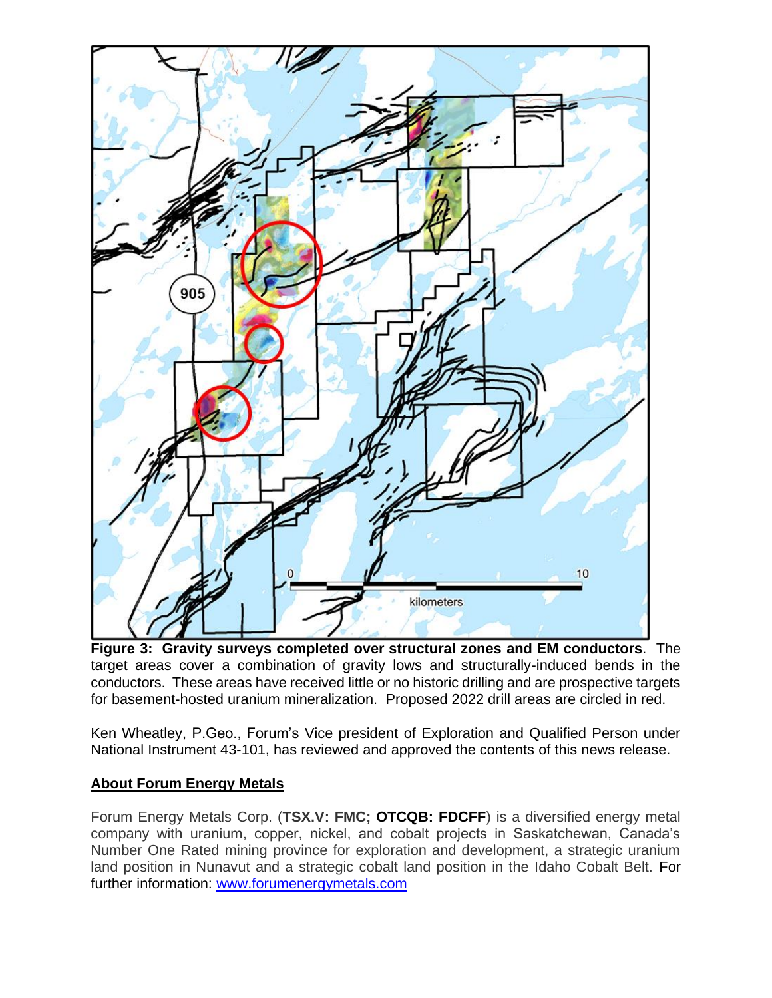

**Figure 3: Gravity surveys completed over structural zones and EM conductors**. The target areas cover a combination of gravity lows and structurally-induced bends in the conductors. These areas have received little or no historic drilling and are prospective targets for basement-hosted uranium mineralization. Proposed 2022 drill areas are circled in red.

Ken Wheatley, P.Geo., Forum's Vice president of Exploration and Qualified Person under National Instrument 43-101, has reviewed and approved the contents of this news release.

## **About Forum Energy Metals**

Forum Energy Metals Corp. (**TSX.V: FMC; OTCQB: FDCFF**) is a diversified energy metal company with uranium, copper, nickel, and cobalt projects in Saskatchewan, Canada's Number One Rated mining province for exploration and development, a strategic uranium land position in Nunavut and a strategic cobalt land position in the Idaho Cobalt Belt. For further information: [www.forumenergymetals.com](http://www.forumenergymetals.com/)